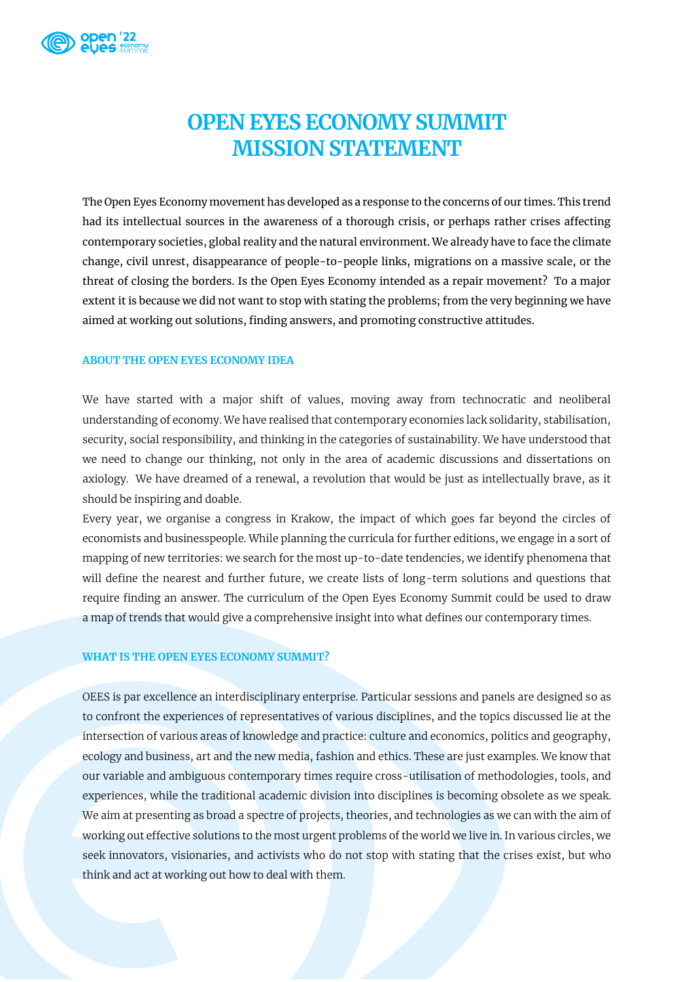

## **OPEN EYES ECONOMY SUMMIT MISSION STATEMENT**

The Open Eyes Economy movement has developed as a response to the concerns of our times. This trend had its intellectual sources in the awareness of a thorough crisis, or perhaps rather crises affecting contemporary societies, global reality and the natural environment. We already have to face the climate change, civil unrest, disappearance of people-to-people links, migrations on a massive scale, or the threat of closing the borders. Is the Open Eyes Economy intended as a repair movement? To a major extent it is because we did not want to stop with stating the problems; from the very beginning we have aimed at working out solutions, finding answers, and promoting constructive attitudes.

## **ABOUT THE OPEN EYES ECONOMY IDEA**

We have started with a major shift of values, moving away from technocratic and neoliberal understanding of economy. We have realised that contemporary economies lack solidarity, stabilisation, security, social responsibility, and thinking in the categories of sustainability. We have understood that we need to change our thinking, not only in the area of academic discussions and dissertations on axiology. We have dreamed of a renewal, a revolution that would be just as intellectually brave, as it should be inspiring and doable.

Every year, we organise a congress in Krakow, the impact of which goes far beyond the circles of economists and businesspeople. While planning the curricula for further editions, we engage in a sort of mapping of new territories: we search for the most up-to-date tendencies, we identify phenomena that will define the nearest and further future, we create lists of long-term solutions and questions that require finding an answer. The curriculum of the Open Eyes Economy Summit could be used to draw a map of trends that would give a comprehensive insight into what defines our contemporary times.

## **WHAT IS THE OPEN EYES ECONOMY SUMMIT?**

OEES is par excellence an interdisciplinary enterprise. Particular sessions and panels are designed so as to confront the experiences of representatives of various disciplines, and the topics discussed lie at the intersection of various areas of knowledge and practice: culture and economics, politics and geography, ecology and business, art and the new media, fashion and ethics. These are just examples. We know that our variable and ambiguous contemporary times require cross-utilisation of methodologies, tools, and experiences, while the traditional academic division into disciplines is becoming obsolete as we speak. We aim at presenting as broad a spectre of projects, theories, and technologies as we can with the aim of working out effective solutions to the most urgent problems of the world we live in. In various circles, we seek innovators, visionaries, and activists who do not stop with stating that the crises exist, but who think and act at working out how to deal with them.